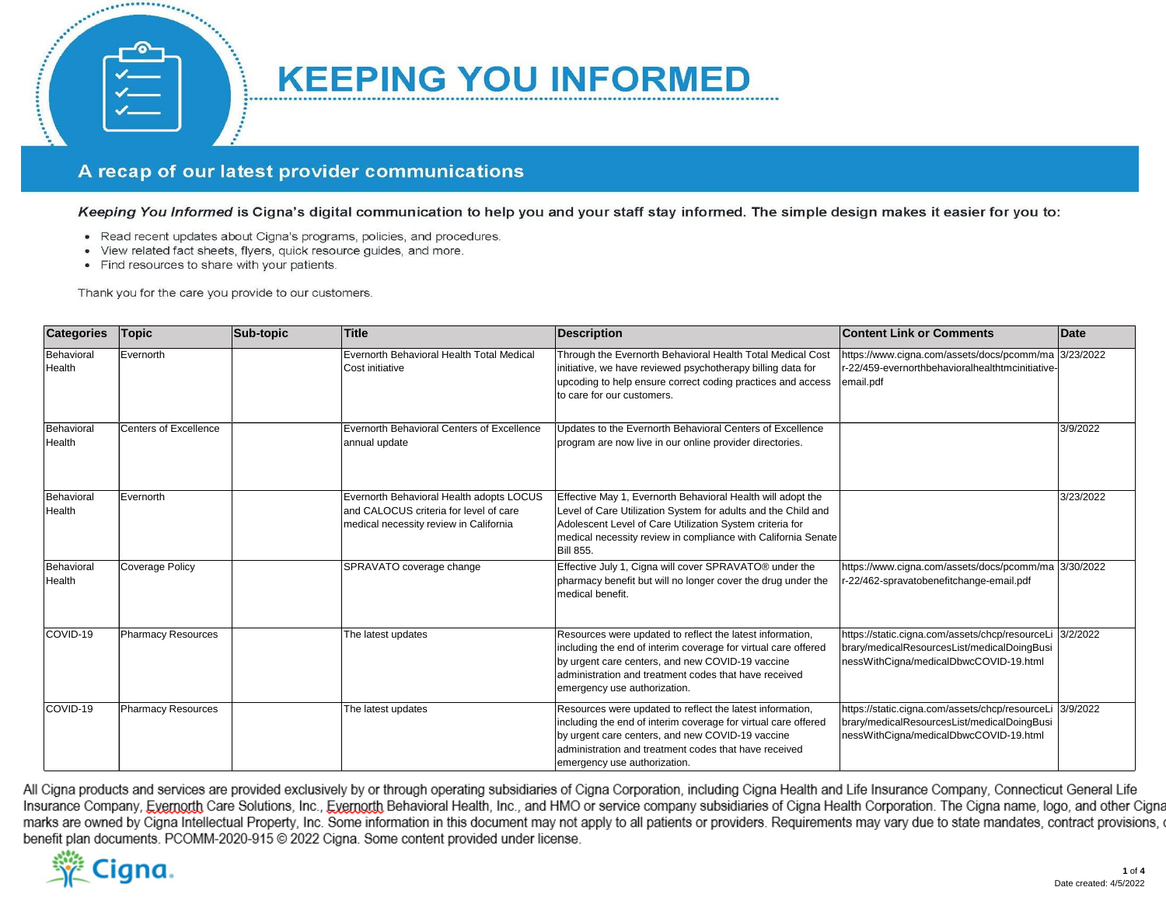## A recap of our latest provider communications

Keeping You Informed is Cigna's digital communication to help you and your staff stay informed. The simple design makes it easier for you to:

**KEEPING YOU INFORMED** 

- Read recent updates about Cigna's programs, policies, and procedures.
- · View related fact sheets, flyers, quick resource guides, and more.
- Find resources to share with your patients.

100

Thank you for the care you provide to our customers.

**Seconds** 

| <b>Categories</b>    | <b>Topic</b>              | Sub-topic | <b>Title</b>                                                                                                                 | <b>Description</b>                                                                                                                                                                                                                                                            | <b>Content Link or Comments</b>                                                                                                                   | Date      |
|----------------------|---------------------------|-----------|------------------------------------------------------------------------------------------------------------------------------|-------------------------------------------------------------------------------------------------------------------------------------------------------------------------------------------------------------------------------------------------------------------------------|---------------------------------------------------------------------------------------------------------------------------------------------------|-----------|
| Behavioral<br>Health | Evernorth                 |           | Evernorth Behavioral Health Total Medical<br>Cost initiative                                                                 | Through the Evernorth Behavioral Health Total Medical Cost<br>initiative, we have reviewed psychotherapy billing data for<br>upcoding to help ensure correct coding practices and access<br>to care for our customers.                                                        | https://www.cigna.com/assets/docs/pcomm/ma 3/23/2022<br>r-22/459-evernorthbehavioralhealthtmcinitiative-<br>email.pdf                             |           |
| Behavioral<br>Health | Centers of Excellence     |           | Evernorth Behavioral Centers of Excellence<br>annual update                                                                  | Updates to the Evernorth Behavioral Centers of Excellence<br>program are now live in our online provider directories.                                                                                                                                                         |                                                                                                                                                   | 3/9/2022  |
| Behavioral<br>Health | Evernorth                 |           | Evernorth Behavioral Health adopts LOCUS<br>and CALOCUS criteria for level of care<br>medical necessity review in California | Effective May 1, Evernorth Behavioral Health will adopt the<br>Level of Care Utilization System for adults and the Child and<br>Adolescent Level of Care Utilization System criteria for<br>medical necessity review in compliance with California Senate<br><b>Bill 855.</b> |                                                                                                                                                   | 3/23/2022 |
| Behavioral<br>Health | <b>Coverage Policy</b>    |           | SPRAVATO coverage change                                                                                                     | Effective July 1, Cigna will cover SPRAVATO® under the<br>pharmacy benefit but will no longer cover the drug under the<br>medical benefit.                                                                                                                                    | https://www.cigna.com/assets/docs/pcomm/ma 3/30/2022<br>r-22/462-spravatobenefitchange-email.pdf                                                  |           |
| COVID-19             | <b>Pharmacy Resources</b> |           | The latest updates                                                                                                           | Resources were updated to reflect the latest information,<br>including the end of interim coverage for virtual care offered<br>by urgent care centers, and new COVID-19 vaccine<br>administration and treatment codes that have received<br>emergency use authorization.      | https://static.cigna.com/assets/chcp/resourceLi 3/2/2022<br>brary/medicalResourcesList/medicalDoingBusi<br>nessWithCigna/medicalDbwcCOVID-19.html |           |
| COVID-19             | <b>Pharmacy Resources</b> |           | The latest updates                                                                                                           | Resources were updated to reflect the latest information,<br>including the end of interim coverage for virtual care offered<br>by urgent care centers, and new COVID-19 vaccine<br>administration and treatment codes that have received<br>emergency use authorization.      | https://static.cigna.com/assets/chcp/resourceLi 3/9/2022<br>brary/medicalResourcesList/medicalDoingBusi<br>nessWithCigna/medicalDbwcCOVID-19.html |           |

All Cigna products and services are provided exclusively by or through operating subsidiaries of Cigna Corporation, including Cigna Health and Life Insurance Company, Connecticut General Life Insurance Company, Evernotth Care Solutions, Inc., Evernotth Behavioral Health, Inc., and HMO or service company subsidiaries of Cigna Health Corporation. The Cigna name, logo, and other Cigna marks are owned by Cigna Intellectual Property, Inc. Some information in this document may not apply to all patients or providers. Requirements may vary due to state mandates, contract provisions, benefit plan documents. PCOMM-2020-915 @ 2022 Cigna. Some content provided under license.

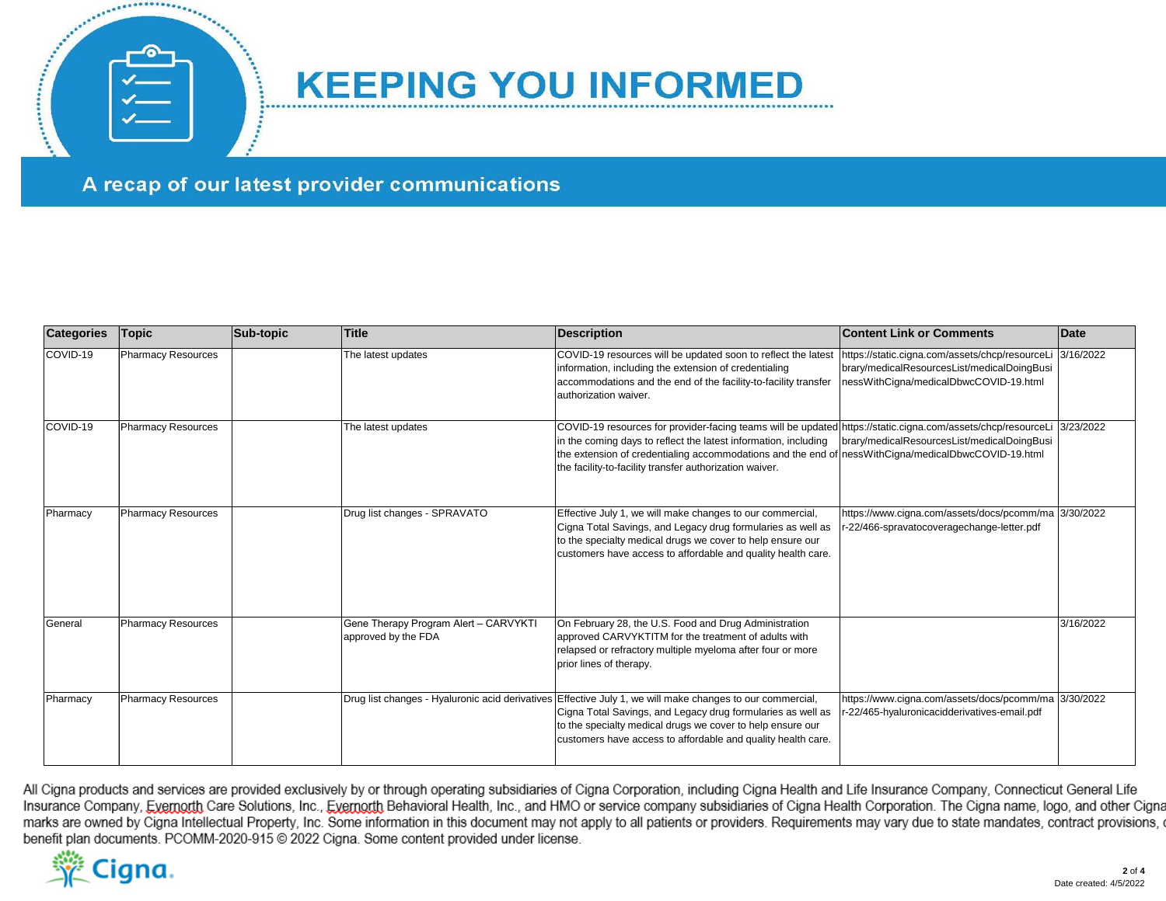

## **KEEPING YOU INFORMED**

A recap of our latest provider communications

| <b>Categories</b> | <b>Topic</b>              | Sub-topic | <b>Title</b>                                                | <b>Description</b>                                                                                                                                                                                                                                                                                                                                | <b>Content Link or Comments</b>                                                                                                          | <b>Date</b> |
|-------------------|---------------------------|-----------|-------------------------------------------------------------|---------------------------------------------------------------------------------------------------------------------------------------------------------------------------------------------------------------------------------------------------------------------------------------------------------------------------------------------------|------------------------------------------------------------------------------------------------------------------------------------------|-------------|
| COVID-19          | Pharmacy Resources        |           | The latest updates                                          | COVID-19 resources will be updated soon to reflect the latest<br>information, including the extension of credentialing<br>accommodations and the end of the facility-to-facility transfer<br>authorization waiver.                                                                                                                                | https://static.cigna.com/assets/chcp/resourceLi<br>brary/medicalResourcesList/medicalDoingBusi<br>nessWithCigna/medicalDbwcCOVID-19.html | 3/16/2022   |
| COVID-19          | <b>Pharmacy Resources</b> |           | The latest updates                                          | COVID-19 resources for provider-facing teams will be updated https://static.cigna.com/assets/chcp/resourceLi<br>in the coming days to reflect the latest information, including<br>the extension of credentialing accommodations and the end of nessWithCigna/medicalDbwcCOVID-19.html<br>the facility-to-facility transfer authorization waiver. | brary/medicalResourcesList/medicalDoingBusi                                                                                              | 3/23/2022   |
| Pharmacy          | <b>Pharmacy Resources</b> |           | Drug list changes - SPRAVATO                                | Effective July 1, we will make changes to our commercial,<br>Cigna Total Savings, and Legacy drug formularies as well as<br>to the specialty medical drugs we cover to help ensure our<br>customers have access to affordable and quality health care.                                                                                            | https://www.cigna.com/assets/docs/pcomm/ma 3/30/2022<br>-22/466-spravatocoveragechange-letter.pdf                                        |             |
| General           | Pharmacy Resources        |           | Gene Therapy Program Alert - CARVYKT<br>approved by the FDA | On February 28, the U.S. Food and Drug Administration<br>approved CARVYKTITM for the treatment of adults with<br>relapsed or refractory multiple myeloma after four or more<br>prior lines of therapy.                                                                                                                                            |                                                                                                                                          | 3/16/2022   |
| Pharmacy          | <b>Pharmacy Resources</b> |           |                                                             | Drug list changes - Hyaluronic acid derivatives Effective July 1, we will make changes to our commercial,<br>Cigna Total Savings, and Legacy drug formularies as well as<br>to the specialty medical drugs we cover to help ensure our<br>customers have access to affordable and quality health care.                                            | https://www.cigna.com/assets/docs/pcomm/ma 3/30/2022<br>r-22/465-hyaluronicacidderivatives-email.pdf                                     |             |

All Cigna products and services are provided exclusively by or through operating subsidiaries of Cigna Corporation, including Cigna Health and Life Insurance Company, Connecticut General Life Insurance Company, Evernorth Care Solutions, Inc., Evernorth Behavioral Health, Inc., and HMO or service company subsidiaries of Cigna Health Corporation. The Cigna name, logo, and other Cigna marks are owned by Cigna Intellectual Property, Inc. Some information in this document may not apply to all patients or providers. Requirements may vary due to state mandates, contract provisions, on benefit plan documents. PCOMM-2020-915 @ 2022 Cigna. Some content provided under license.

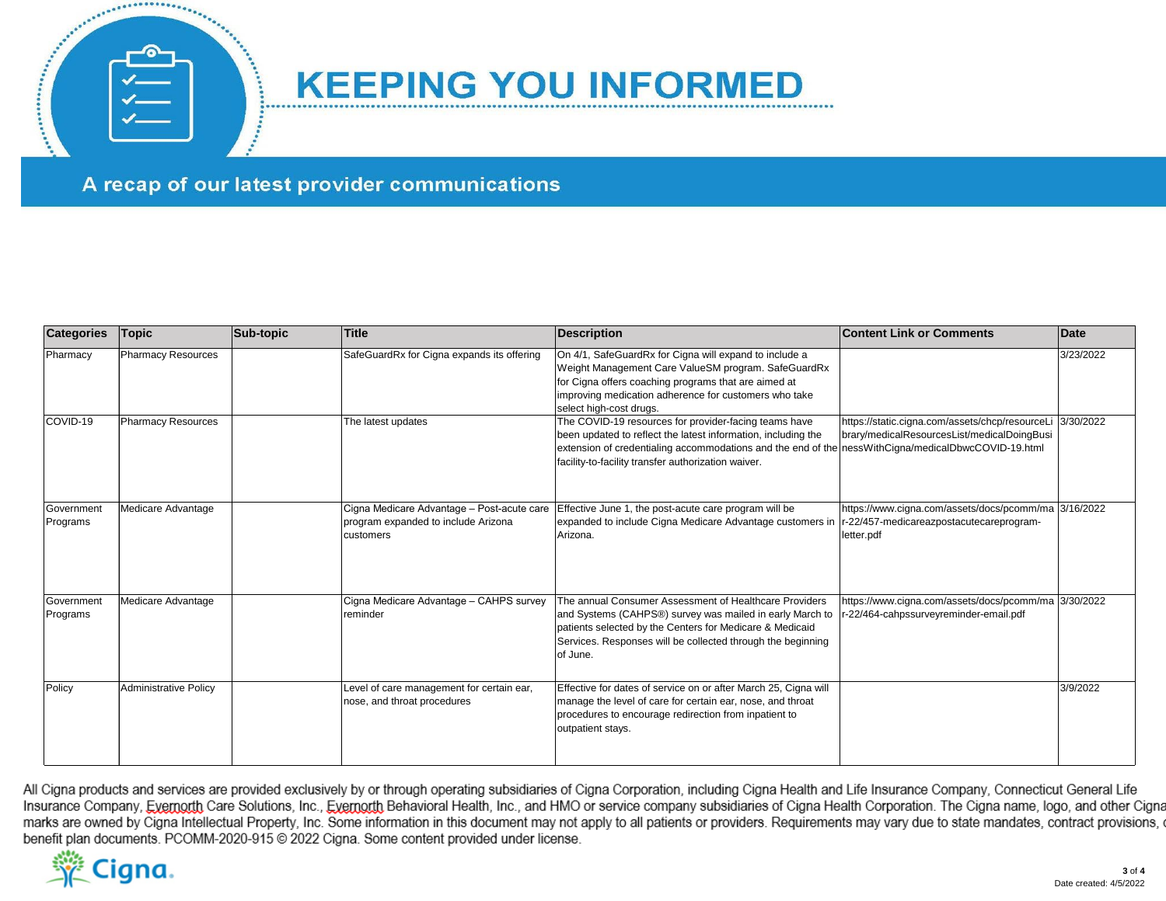

## **KEEPING YOU INFORMED**

A recap of our latest provider communications

| <b>Categories</b>      | <b>Topic</b>                 | Sub-topic | <b>Title</b>                                                                                   | <b>Description</b>                                                                                                                                                                                                                                                                      | <b>Content Link or Comments</b>                                                                                | Date      |
|------------------------|------------------------------|-----------|------------------------------------------------------------------------------------------------|-----------------------------------------------------------------------------------------------------------------------------------------------------------------------------------------------------------------------------------------------------------------------------------------|----------------------------------------------------------------------------------------------------------------|-----------|
| Pharmacy               | Pharmacy Resources           |           | SafeGuardRx for Cigna expands its offering                                                     | On 4/1, SafeGuardRx for Cigna will expand to include a<br>Weight Management Care ValueSM program. SafeGuardRx<br>for Cigna offers coaching programs that are aimed at<br>improving medication adherence for customers who take<br>select high-cost drugs.                               |                                                                                                                | 3/23/2022 |
| COVID-19               | <b>Pharmacy Resources</b>    |           | The latest updates                                                                             | The COVID-19 resources for provider-facing teams have<br>been updated to reflect the latest information, including the<br>extension of credentialing accommodations and the end of the ness With Cigna/medical DbwcCOVID-19.html<br>facility-to-facility transfer authorization waiver. | https://static.cigna.com/assets/chcp/resourceLi<br>brary/medicalResourcesList/medicalDoingBusi                 | 3/30/2022 |
| Government<br>Programs | Medicare Advantage           |           | Cigna Medicare Advantage - Post-acute care<br>program expanded to include Arizona<br>customers | Effective June 1, the post-acute care program will be<br>expanded to include Cigna Medicare Advantage customers in<br>Arizona.                                                                                                                                                          | https://www.cigna.com/assets/docs/pcomm/ma 3/16/2022<br>r-22/457-medicareazpostacutecareprogram-<br>letter.pdf |           |
| Government<br>Programs | Medicare Advantage           |           | Cigna Medicare Advantage - CAHPS survey<br>reminder                                            | The annual Consumer Assessment of Healthcare Providers<br>and Systems (CAHPS®) survey was mailed in early March to<br>patients selected by the Centers for Medicare & Medicaid<br>Services. Responses will be collected through the beginning<br>of June.                               | https://www.cigna.com/assets/docs/pcomm/ma 3/30/2022<br>r-22/464-cahpssurveyreminder-email.pdf                 |           |
| Policy                 | <b>Administrative Policy</b> |           | Level of care management for certain ear,<br>nose, and throat procedures                       | Effective for dates of service on or after March 25, Cigna will<br>manage the level of care for certain ear, nose, and throat<br>procedures to encourage redirection from inpatient to<br>outpatient stays.                                                                             |                                                                                                                | 3/9/2022  |

All Cigna products and services are provided exclusively by or through operating subsidiaries of Cigna Corporation, including Cigna Health and Life Insurance Company, Connecticut General Life Insurance Company, Evernorth Care Solutions, Inc., Evernorth Behavioral Health, Inc., and HMO or service company subsidiaries of Cigna Health Corporation. The Cigna name, logo, and other Cigna marks are owned by Cigna Intellectual Property, Inc. Some information in this document may not apply to all patients or providers. Requirements may vary due to state mandates, contract provisions, on benefit plan documents. PCOMM-2020-915 @ 2022 Cigna. Some content provided under license.